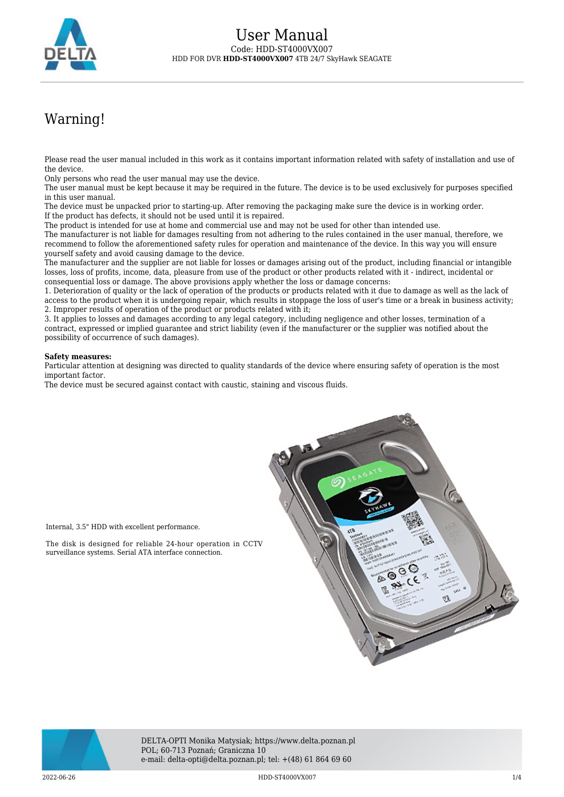

# Warning!

Please read the user manual included in this work as it contains important information related with safety of installation and use of the device.

Only persons who read the user manual may use the device.

The user manual must be kept because it may be required in the future. The device is to be used exclusively for purposes specified in this user manual.

The device must be unpacked prior to starting-up. After removing the packaging make sure the device is in working order. If the product has defects, it should not be used until it is repaired.

The product is intended for use at home and commercial use and may not be used for other than intended use.

The manufacturer is not liable for damages resulting from not adhering to the rules contained in the user manual, therefore, we recommend to follow the aforementioned safety rules for operation and maintenance of the device. In this way you will ensure yourself safety and avoid causing damage to the device.

The manufacturer and the supplier are not liable for losses or damages arising out of the product, including financial or intangible losses, loss of profits, income, data, pleasure from use of the product or other products related with it - indirect, incidental or consequential loss or damage. The above provisions apply whether the loss or damage concerns:

1. Deterioration of quality or the lack of operation of the products or products related with it due to damage as well as the lack of access to the product when it is undergoing repair, which results in stoppage the loss of user's time or a break in business activity; 2. Improper results of operation of the product or products related with it;

3. It applies to losses and damages according to any legal category, including negligence and other losses, termination of a contract, expressed or implied guarantee and strict liability (even if the manufacturer or the supplier was notified about the possibility of occurrence of such damages).

#### **Safety measures:**

Internal, 3.5" HDD with excellent performance.

surveillance systems. Serial ATA interface connection.

Particular attention at designing was directed to quality standards of the device where ensuring safety of operation is the most important factor.

The device must be secured against contact with caustic, staining and viscous fluids.





DELTA-OPTI Monika Matysiak; https://www.delta.poznan.pl POL; 60-713 Poznań; Graniczna 10 e-mail: delta-opti@delta.poznan.pl; tel: +(48) 61 864 69 60

 $2022$ -06-26 **1/4** and the state of the HDD-ST4000VX007 **1/4** and the state of the state of the state of the state of the state of the state of the state of the state of the state of the state of the state of the state of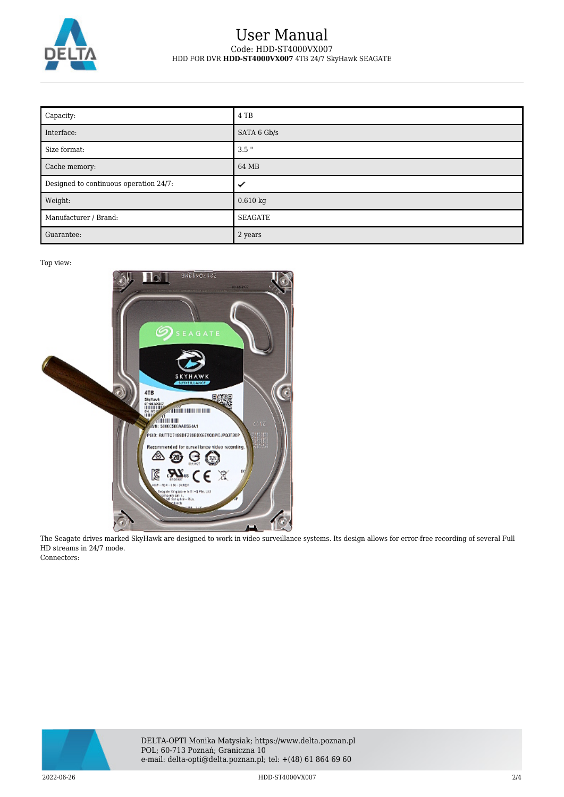

### User Manual Code: HDD-ST4000VX007 HDD FOR DVR **HDD-ST4000VX007** 4TB 24/7 SkyHawk SEAGATE

| Capacity:                              | 4 TB        |
|----------------------------------------|-------------|
| Interface:                             | SATA 6 Gb/s |
| Size format:                           | $3.5$ "     |
| Cache memory:                          | 64 MB       |
|                                        |             |
| Designed to continuous operation 24/7: | ✓           |
| Weight:                                | $0.610$ kg  |
| Manufacturer / Brand:                  | SEAGATE     |

Top view:



The Seagate drives marked SkyHawk are designed to work in video surveillance systems. Its design allows for error-free recording of several Full HD streams in 24/7 mode. Connectors:



2022-06-26 HDD-ST4000VX007 2/4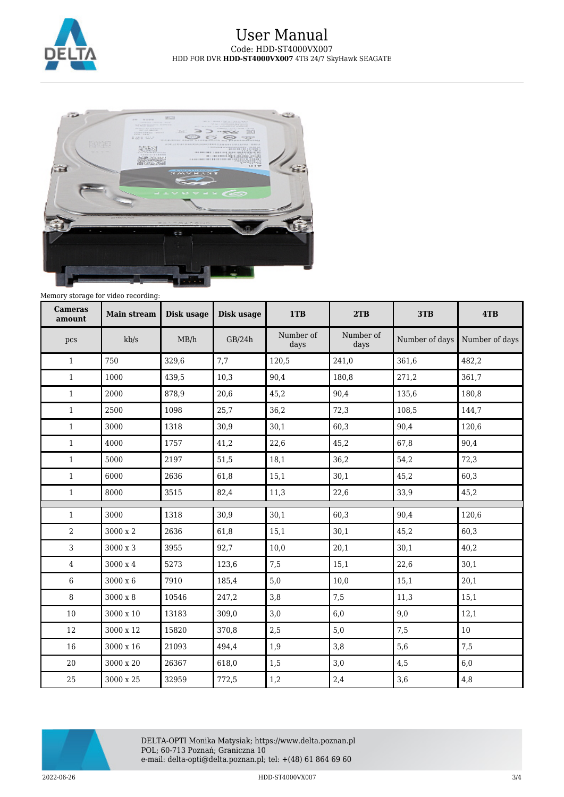

## User Manual Code: HDD-ST4000VX007 HDD FOR DVR **HDD-ST4000VX007** 4TB 24/7 SkyHawk SEAGATE



Memory storage for video recording:

| <b>Cameras</b><br>amount | <b>Main stream</b> | Disk usage | Disk usage | 1TB               | 2TB               | 3TB            | 4TB            |
|--------------------------|--------------------|------------|------------|-------------------|-------------------|----------------|----------------|
| pcs                      | kb/s               | MB/h       | GB/24h     | Number of<br>days | Number of<br>days | Number of days | Number of days |
| $\mathbf{1}$             | 750                | 329,6      | 7,7        | 120,5             | 241,0             | 361,6          | 482,2          |
| $\mathbf{1}$             | 1000               | 439,5      | 10,3       | 90,4              | 180,8             | 271,2          | 361,7          |
| $\mathbf{1}$             | 2000               | 878,9      | 20,6       | 45,2              | 90,4              | 135,6          | 180,8          |
| $\mathbf{1}$             | 2500               | 1098       | 25,7       | 36,2              | 72,3              | 108,5          | 144,7          |
| $\mathbf{1}$             | 3000               | 1318       | 30,9       | 30,1              | 60,3              | 90,4           | 120,6          |
| $\mathbf{1}$             | 4000               | 1757       | 41,2       | 22,6              | 45,2              | 67,8           | 90,4           |
| $\mathbf{1}$             | 5000               | 2197       | 51,5       | 18,1              | 36,2              | 54,2           | 72,3           |
| $\mathbf{1}$             | 6000               | 2636       | 61,8       | 15,1              | 30,1              | 45,2           | 60,3           |
| $\mathbf{1}$             | 8000               | 3515       | 82,4       | 11,3              | 22,6              | 33,9           | 45,2           |
| $\mathbf{1}$             | 3000               | 1318       | 30,9       | 30,1              | 60,3              | 90,4           | 120,6          |
| $\overline{2}$           | 3000 x 2           | 2636       | 61,8       | 15,1              | 30,1              | 45,2           | 60,3           |
| $\overline{3}$           | 3000 x 3           | 3955       | 92,7       | 10,0              | 20,1              | 30,1           | 40,2           |
| $\overline{4}$           | $3000 \ge 4$       | 5273       | 123,6      | 7,5               | 15,1              | 22,6           | 30,1           |
| $6\phantom{.}6$          | 3000 x 6           | 7910       | 185,4      | 5,0               | 10,0              | 15,1           | 20,1           |
| 8                        | 3000 x 8           | 10546      | 247,2      | 3,8               | 7,5               | 11,3           | 15,1           |
| 10                       | 3000 x 10          | 13183      | 309,0      | 3,0               | 6,0               | 9,0            | 12,1           |
| 12                       | 3000 x 12          | 15820      | 370,8      | 2,5               | 5,0               | 7,5            | 10             |
| 16                       | 3000 x 16          | 21093      | 494,4      | 1,9               | 3,8               | 5,6            | 7,5            |
| 20                       | 3000 x 20          | 26367      | 618,0      | 1,5               | 3,0               | 4,5            | 6,0            |
| 25                       | 3000 x 25          | 32959      | 772,5      | 1,2               | 2,4               | 3,6            | 4,8            |



DELTA-OPTI Monika Matysiak; https://www.delta.poznan.pl POL; 60-713 Poznań; Graniczna 10 e-mail: delta-opti@delta.poznan.pl; tel: +(48) 61 864 69 60